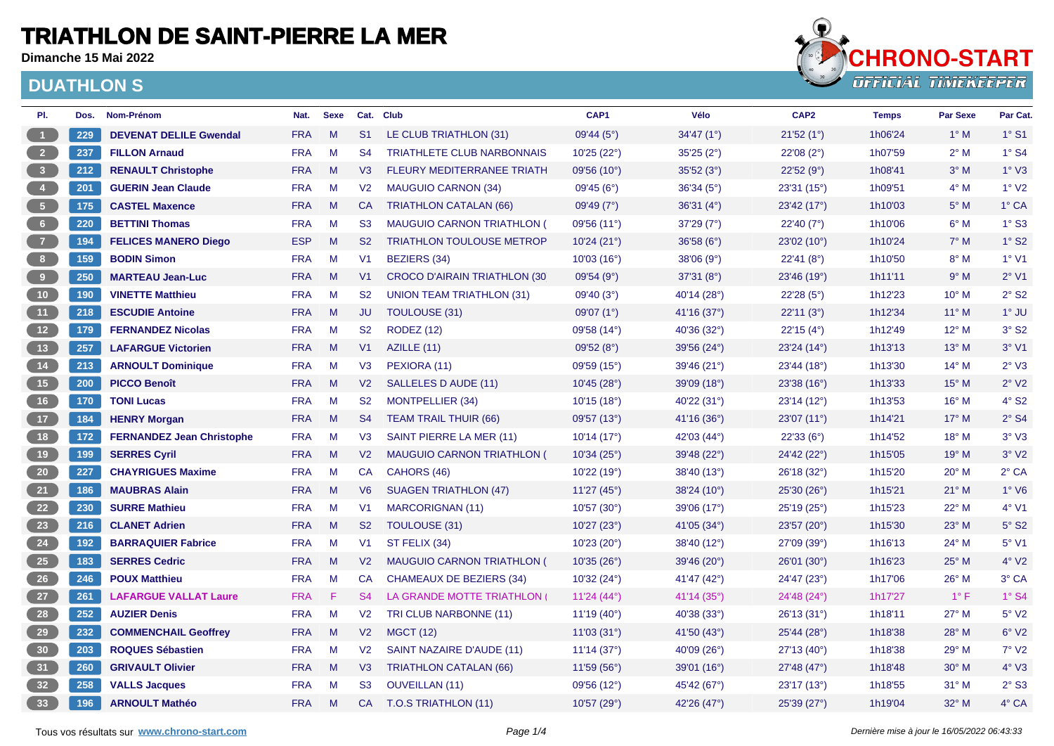**Dimanche 15 Mai 2022**



| PI.                  | Dos. | Nom-Prénom                       | Nat.       | <b>Sexe</b> |                | Cat. Club                           | CAP1                   | Vélo                 | CAP <sub>2</sub> | <b>Temps</b> | <b>Par Sexe</b> | Par Cat.                 |
|----------------------|------|----------------------------------|------------|-------------|----------------|-------------------------------------|------------------------|----------------------|------------------|--------------|-----------------|--------------------------|
| $\mathbf{1}$         | 229  | <b>DEVENAT DELILE Gwendal</b>    | <b>FRA</b> | M           | S <sub>1</sub> | LE CLUB TRIATHLON (31)              | 09'44(5°)              | 34'47(1°)            | 21'52(1°)        | 1h06'24      | $1^\circ$ M     | $1°$ S1                  |
| 2 <sup>7</sup>       | 237  | <b>FILLON Arnaud</b>             | <b>FRA</b> | M           | S <sub>4</sub> | <b>TRIATHLETE CLUB NARBONNAIS</b>   | 10'25(22°)             | 35'25(2°)            | 22'08(2°)        | 1h07'59      | $2^{\circ}$ M   | $1^\circ$ S4             |
| 3 <sup>1</sup>       | 212  | <b>RENAULT Christophe</b>        | <b>FRA</b> | M           | V3             | <b>FLEURY MEDITERRANEE TRIATH</b>   | 09'56(10)              | 35'52(3°)            | 22'52 (9°)       | 1h08'41      | $3^\circ$ M     | 1° <sub>V3</sub>         |
| $\blacktriangleleft$ | 201  | <b>GUERIN Jean Claude</b>        | <b>FRA</b> | M           | V <sub>2</sub> | <b>MAUGUIO CARNON (34)</b>          | 09'45 (6°)             | 36'34 (5°)           | 23'31 (15°)      | 1h09'51      | $4^\circ$ M     | $1°$ V <sub>2</sub>      |
| 5 <sub>1</sub>       | 175  | <b>CASTEL Maxence</b>            | <b>FRA</b> | M           | <b>CA</b>      | <b>TRIATHLON CATALAN (66)</b>       | 09'49(7°)              | 36'31(4°)            | 23'42 (17°)      | 1h10'03      | $5^\circ$ M     | $1^\circ$ CA             |
| $6 -$                | 220  | <b>BETTINI Thomas</b>            | <b>FRA</b> | M           | S <sub>3</sub> | <b>MAUGUIO CARNON TRIATHLON (</b>   | 09'56 (11°)            | 37'29(7°)            | 22'40(7°)        | 1h10'06      | $6^\circ$ M     | $1°$ S <sub>3</sub>      |
| 7 <sup>2</sup>       | 194  | <b>FELICES MANERO Diego</b>      | <b>ESP</b> | M           | S <sub>2</sub> | <b>TRIATHLON TOULOUSE METROP</b>    | 10'24(21°)             | 36'58(6°)            | 23'02 (10°)      | 1h10'24      | $7^\circ$ M     | $1^\circ$ S <sub>2</sub> |
| 8 <sup>1</sup>       | 159  | <b>BODIN Simon</b>               | <b>FRA</b> | M           | V <sub>1</sub> | <b>BEZIERS (34)</b>                 | 10'03(16°)             | 38'06(9°)            | 22'41(8°)        | 1h10'50      | $8^\circ$ M     | $1°$ V1                  |
| 9 <sub>1</sub>       | 250  | <b>MARTEAU Jean-Luc</b>          | <b>FRA</b> | M           | V <sub>1</sub> | <b>CROCO D'AIRAIN TRIATHLON (30</b> | 09'54(9°)              | 37'31(8°)            | 23'46 (19°)      | 1h11'11      | 9° M            | $2°$ V1                  |
| 10 <sub>1</sub>      | 190  | <b>VINETTE Matthieu</b>          | <b>FRA</b> | M           | S <sub>2</sub> | <b>UNION TEAM TRIATHLON (31)</b>    | 09'40(3°)              | 40'14 (28°)          | 22'28(5°)        | 1h12'23      | $10^{\circ}$ M  | $2°$ S <sub>2</sub>      |
| 11 <sub>1</sub>      | 218  | <b>ESCUDIE Antoine</b>           | <b>FRA</b> | M           | JU             | <b>TOULOUSE (31)</b>                | 09'07(1°)              | 41'16 $(37°)$        | 22'11(3°)        | 1h12'34      | $11^{\circ}$ M  | $1^\circ$ JU             |
| 12                   | 179  | <b>FERNANDEZ Nicolas</b>         | <b>FRA</b> | M           | S <sub>2</sub> | <b>RODEZ (12)</b>                   | 09'58 (14°)            | 40'36 (32°)          | 22'15 (4°)       | 1h12'49      | $12^{\circ}$ M  | $3°$ S <sub>2</sub>      |
| 13                   | 257  | <b>LAFARGUE Victorien</b>        | <b>FRA</b> | M           | V1             | AZILLE (11)                         | 09'52 (8°)             | 39'56 (24°)          | 23'24(14°)       | 1h13'13      | $13^{\circ}$ M  | $3°$ V1                  |
| 14                   | 213  | <b>ARNOULT Dominique</b>         | <b>FRA</b> | M           | V3             | PEXIORA (11)                        | 09'59 (15°)            | 39'46 (21°)          | 23'44(18°)       | 1h13'30      | $14^{\circ}$ M  | $2°$ V3                  |
| 15                   | 200  | <b>PICCO Benoît</b>              | <b>FRA</b> | M           | V <sub>2</sub> | SALLELES D AUDE (11)                | 10'45 (28°)            | 39'09 (18°)          | 23'38 (16°)      | 1h13'33      | $15^{\circ}$ M  | $2°$ V <sub>2</sub>      |
| 16                   | 170  | <b>TONI Lucas</b>                | <b>FRA</b> | M           | S <sub>2</sub> | <b>MONTPELLIER (34)</b>             | 10'15(18°)             | 40'22 $(31^{\circ})$ | 23'14(12°)       | 1h13'53      | $16^{\circ}$ M  | $4°$ S <sub>2</sub>      |
| 17 <sup>2</sup>      | 184  | <b>HENRY Morgan</b>              | <b>FRA</b> | M           | S <sub>4</sub> | <b>TEAM TRAIL THUIR (66)</b>        | 09'57 (13°)            | 41'16 (36°)          | 23'07 (11°)      | 1h14'21      | $17^\circ$ M    | $2°$ S4                  |
| 18                   | 172  | <b>FERNANDEZ Jean Christophe</b> | <b>FRA</b> | M           | V <sub>3</sub> | SAINT PIERRE LA MER (11)            | 10'14(17°)             | 42'03 (44°)          | 22'33 (6°)       | 1h14'52      | $18^{\circ}$ M  | $3°\ V3$                 |
| 19                   | 199  | <b>SERRES Cyril</b>              | <b>FRA</b> | M           | V <sub>2</sub> | <b>MAUGUIO CARNON TRIATHLON (</b>   | 10'34(25°)             | 39'48 (22°)          | 24'42 (22°)      | 1h15'05      | $19^{\circ}$ M  | $3°$ V2                  |
| 20 <sub>2</sub>      | 227  | <b>CHAYRIGUES Maxime</b>         | <b>FRA</b> | M           | CA             | CAHORS (46)                         | 10'22 (19°)            | 38'40(13°)           | 26'18 (32°)      | 1h15'20      | $20^{\circ}$ M  | $2^{\circ}$ CA           |
| 21                   | 186  | <b>MAUBRAS Alain</b>             | <b>FRA</b> | M           | V6             | <b>SUAGEN TRIATHLON (47)</b>        | 11'27 (45 $^{\circ}$ ) | 38'24(10°)           | 25'30 (26°)      | 1h15'21      | $21^{\circ}$ M  | $1°$ V6                  |
| 22                   | 230  | <b>SURRE Mathieu</b>             | <b>FRA</b> | M           | V <sub>1</sub> | <b>MARCORIGNAN (11)</b>             | 10'57 (30°)            | 39'06 (17°)          | 25'19 (25°)      | 1h15'23      | $22^{\circ}$ M  | 4° V1                    |
| 23                   | 216  | <b>CLANET Adrien</b>             | <b>FRA</b> | M           | S <sub>2</sub> | <b>TOULOUSE (31)</b>                | 10'27 (23°)            | 41'05 $(34^{\circ})$ | 23'57 (20°)      | 1h15'30      | $23^\circ$ M    | $5°$ S <sub>2</sub>      |
| 24                   | 192  | <b>BARRAQUIER Fabrice</b>        | <b>FRA</b> | M           | V <sub>1</sub> | ST FELIX (34)                       | 10'23(20°)             | 38'40 (12°)          | 27'09 (39°)      | 1h16'13      | $24^{\circ}$ M  | 5° V1                    |
| 25                   | 183  | <b>SERRES Cedric</b>             | <b>FRA</b> | M           | V <sub>2</sub> | MAUGUIO CARNON TRIATHLON (          | 10'35(26°)             | 39'46 (20°)          | 26'01 (30°)      | 1h16'23      | $25^{\circ}$ M  | $4°$ V2                  |
| 26                   | 246  | <b>POUX Matthieu</b>             | <b>FRA</b> | M           | CA             | <b>CHAMEAUX DE BEZIERS (34)</b>     | 10'32 (24°)            | 41'47 (42°)          | 24'47 (23°)      | 1h17'06      | $26^{\circ}$ M  | 3° CA                    |
| 27                   | 261  | <b>LAFARGUE VALLAT Laure</b>     | <b>FRA</b> | F           | S <sub>4</sub> | LA GRANDE MOTTE TRIATHLON           | 11'24 (44 $^{\circ}$ ) | 41'14 (35°)          | 24'48 (24°)      | 1h17'27      | $1^{\circ}$ F   | $1^\circ$ S4             |
| 28                   | 252  | <b>AUZIER Denis</b>              | <b>FRA</b> | M           | V <sub>2</sub> | TRI CLUB NARBONNE (11)              | 11'19(40°)             | 40'38 (33°)          | 26'13(31°)       | 1h18'11      | $27^\circ$ M    | $5^{\circ}$ V2           |
| 29                   | 232  | <b>COMMENCHAIL Geoffrey</b>      | <b>FRA</b> | M           | V <sub>2</sub> | <b>MGCT (12)</b>                    | 11'03(31°)             | 41'50 $(43°)$        | 25'44 (28°)      | 1h18'38      | $28^\circ$ M    | $6°\,V2$                 |
| 30                   | 203  | <b>ROQUES Sébastien</b>          | <b>FRA</b> | M           | V <sub>2</sub> | SAINT NAZAIRE D'AUDE (11)           | 11'14(37°)             | 40'09 (26°)          | 27'13 (40°)      | 1h18'38      | 29° M           | $7°$ V2                  |
| 31                   | 260  | <b>GRIVAULT Olivier</b>          | <b>FRA</b> | M           | V3             | <b>TRIATHLON CATALAN (66)</b>       | 11'59(56)              | 39'01(16°)           | 27'48 (47°)      | 1h18'48      | $30^\circ$ M    | $4°\text{V}3$            |
| 32                   | 258  | <b>VALLS Jacques</b>             | <b>FRA</b> | M           | S <sub>3</sub> | <b>OUVEILLAN (11)</b>               | 09'56 (12°)            | 45'42 (67°)          | 23'17(13°)       | 1h18'55      | $31^\circ$ M    | $2°$ S <sub>3</sub>      |
| 33                   | 196  | <b>ARNOULT Mathéo</b>            | <b>FRA</b> | M           | <b>CA</b>      | T.O.S TRIATHLON (11)                | 10'57 (29°)            | 42'26 (47°)          | 25'39 (27°)      | 1h19'04      | 32° M           | 4° CA                    |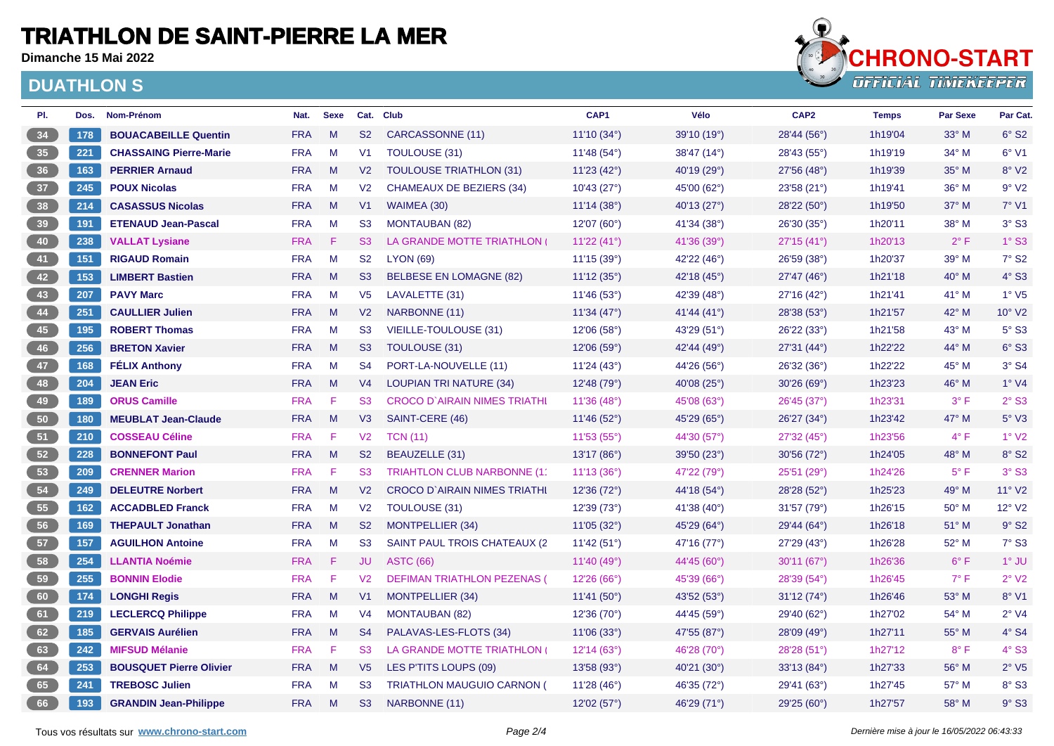**Dimanche 15 Mai 2022**



| PI.             | Dos. | Nom-Prénom                     | Nat.       | <b>Sexe</b> |                | Cat. Club                           | CAP1                   | Vélo                   | CAP <sub>2</sub> | <b>Temps</b> | <b>Par Sexe</b> | Par Cat.                    |
|-----------------|------|--------------------------------|------------|-------------|----------------|-------------------------------------|------------------------|------------------------|------------------|--------------|-----------------|-----------------------------|
| 34              | 178  | <b>BOUACABEILLE Quentin</b>    | <b>FRA</b> | M           | S <sub>2</sub> | CARCASSONNE (11)                    | 11'10(34°)             | 39'10 (19°)            | 28'44 (56°)      | 1h19'04      | $33^\circ$ M    | $6°$ S <sub>2</sub>         |
| 35 <sup>°</sup> | 221  | <b>CHASSAING Pierre-Marie</b>  | <b>FRA</b> | M           | V <sub>1</sub> | <b>TOULOUSE (31)</b>                | 11'48 (54°)            | 38'47 (14°)            | 28'43 (55°)      | 1h19'19      | $34^\circ$ M    | $6°$ V1                     |
| 36 <sup>°</sup> | 163  | <b>PERRIER Arnaud</b>          | <b>FRA</b> | M           | V <sub>2</sub> | <b>TOULOUSE TRIATHLON (31)</b>      | 11'23(42°)             | 40'19 (29°)            | 27'56 (48°)      | 1h19'39      | $35^\circ$ M    | 8° V2                       |
| 37 <sup>°</sup> | 245  | <b>POUX Nicolas</b>            | <b>FRA</b> | M           | V <sub>2</sub> | CHAMEAUX DE BEZIERS (34)            | 10'43(27°)             | 45'00 (62°)            | 23'58 (21°)      | 1h19'41      | $36^\circ$ M    | 9°V2                        |
| 38              | 214  | <b>CASASSUS Nicolas</b>        | <b>FRA</b> | M           | V <sub>1</sub> | WAIMEA (30)                         | 11'14(38°)             | 40'13 (27°)            | 28'22 (50°)      | 1h19'50      | $37^\circ$ M    | $7°$ V1                     |
| 39              | 191  | <b>ETENAUD Jean-Pascal</b>     | <b>FRA</b> | M           | S3             | <b>MONTAUBAN (82)</b>               | 12'07 (60°)            | 41'34 (38°)            | 26'30 (35°)      | 1h20'11      | 38° M           | $3°$ S3                     |
| 40              | 238  | <b>VALLAT Lysiane</b>          | <b>FRA</b> | F           | S3             | LA GRANDE MOTTE TRIATHLON (         | 11'22(41°)             | 41'36 (39°)            | 27'15 (41°)      | 1h20'13      | $2^{\circ}$ F   | $1°$ S3                     |
| 41              | 151  | <b>RIGAUD Romain</b>           | <b>FRA</b> | M           | S <sub>2</sub> | <b>LYON (69)</b>                    | 11'15(39°)             | 42'22 (46°)            | 26'59 (38°)      | 1h20'37      | 39° M           | 7° S2                       |
| 42              | 153  | <b>LIMBERT Bastien</b>         | <b>FRA</b> | M           | S3             | <b>BELBESE EN LOMAGNE (82)</b>      | 11'12(35°)             | 42'18 $(45^{\circ})$   | 27'47(46°)       | 1h21'18      | $40^{\circ}$ M  | 4° S3                       |
| 43              | 207  | <b>PAVY Marc</b>               | <b>FRA</b> | M           | V <sub>5</sub> | LAVALETTE (31)                      | 11'46 (53°)            | 42'39 (48°)            | 27'16(42°)       | 1h21'41      | $41^{\circ}$ M  | $1°$ V <sub>5</sub>         |
| 44              | 251  | <b>CAULLIER Julien</b>         | <b>FRA</b> | M           | V <sub>2</sub> | NARBONNE (11)                       | 11'34(47°)             | 41'44 (41°)            | 28'38(53°)       | 1h21'57      | $42^{\circ}$ M  | 10° V2                      |
| 45              | 195  | <b>ROBERT Thomas</b>           | <b>FRA</b> | M           | S3             | VIEILLE-TOULOUSE (31)               | 12'06(58°)             | 43'29 (51°)            | 26'22(33°)       | 1h21'58      | 43° M           | $5^\circ$ S3                |
| 46              | 256  | <b>BRETON Xavier</b>           | <b>FRA</b> | M           | S3             | TOULOUSE (31)                       | 12'06(59°)             | 42'44 (49 $^{\circ}$ ) | 27'31(44°)       | 1h22'22      | $44^{\circ}$ M  | $6°$ S3                     |
| 47              | 168  | <b>FÉLIX Anthony</b>           | <b>FRA</b> | M           | S <sub>4</sub> | PORT-LA-NOUVELLE (11)               | 11'24 (43°)            | 44'26 (56°)            | 26'32 (36°)      | 1h22'22      | $45^{\circ}$ M  | $3°$ S <sub>4</sub>         |
| 48              | 204  | <b>JEAN Eric</b>               | <b>FRA</b> | M           | V <sub>4</sub> | <b>LOUPIAN TRI NATURE (34)</b>      | 12'48(79°)             | 40'08 (25°)            | 30'26 (69°)      | 1h23'23      | $46^{\circ}$ M  | 1° <sub>V4</sub>            |
| 49              | 189  | <b>ORUS Camille</b>            | <b>FRA</b> | F           | S <sub>3</sub> | <b>CROCO D'AIRAIN NIMES TRIATHI</b> | 11'36(48°)             | 45'08 (63°)            | 26'45 (37°)      | 1h23'31      | $3^{\circ}$ F   | $2°$ S <sub>3</sub>         |
| 50 <sub>o</sub> | 180  | <b>MEUBLAT Jean-Claude</b>     | <b>FRA</b> | M           | V3             | SAINT-CERE (46)                     | 11'46(52°)             | 45'29 (65°)            | 26'27 (34°)      | 1h23'42      | 47° M           | $5^\circ$ V3                |
| 51              | 210  | <b>COSSEAU Céline</b>          | <b>FRA</b> | F           | V <sub>2</sub> | <b>TCN (11)</b>                     | 11'53(55°)             | 44'30 (57°)            | 27'32(45°)       | 1h23'56      | $4^{\circ}$ F   | 1° V2                       |
| 52              | 228  | <b>BONNEFONT Paul</b>          | <b>FRA</b> | M           | S <sub>2</sub> | <b>BEAUZELLE</b> (31)               | 13'17 (86°)            | 39'50 (23°)            | 30'56 (72°)      | 1h24'05      | 48° M           | 8° S2                       |
| 53              | 209  | <b>CRENNER Marion</b>          | <b>FRA</b> | F           | S3             | TRIAHTLON CLUB NARBONNE (11         | 11'13(36°)             | 47'22 (79°)            | 25'51 (29°)      | 1h24'26      | $5^{\circ}$ F   | $3°$ S <sub>3</sub>         |
| 54              | 249  | <b>DELEUTRE Norbert</b>        | <b>FRA</b> | M           | V <sub>2</sub> | <b>CROCO D'AIRAIN NIMES TRIATHI</b> | 12'36 (72°)            | 44'18 (54°)            | 28'28 (52°)      | 1h25'23      | $49^\circ$ M    | $11^{\circ}$ V <sub>2</sub> |
| 55              | 162  | <b>ACCADBLED Franck</b>        | <b>FRA</b> | M           | V <sub>2</sub> | TOULOUSE (31)                       | 12'39 (73°)            | 41'38 $(40^{\circ})$   | 31'57(79°)       | 1h26'15      | $50^\circ$ M    | 12° V2                      |
| 56              | 169  | <b>THEPAULT Jonathan</b>       | <b>FRA</b> | M           | S <sub>2</sub> | <b>MONTPELLIER (34)</b>             | 11'05(32°)             | 45'29 (64°)            | 29'44 (64°)      | 1h26'18      | $51^\circ$ M    | $9°$ S <sub>2</sub>         |
| 57              | 157  | <b>AGUILHON Antoine</b>        | <b>FRA</b> | M           | S3             | SAINT PAUL TROIS CHATEAUX (2)       | 11'42(51°)             | 47'16 (77°)            | 27'29 (43°)      | 1h26'28      | 52° M           | $7°$ S3                     |
| 58              | 254  | <b>LLANTIA Noémie</b>          | <b>FRA</b> | F           | JU             | <b>ASTC (66)</b>                    | 11'40 (49 $^{\circ}$ ) | 44'45 (60°)            | 30'11 (67°)      | 1h26'36      | $6^{\circ}$ F   | 1° JU                       |
| 59              | 255  | <b>BONNIN Elodie</b>           | <b>FRA</b> | F           | V <sub>2</sub> | <b>DEFIMAN TRIATHLON PEZENAS (</b>  | 12'26(66)              | 45'39 (66°)            | 28'39 (54°)      | 1h26'45      | $7^\circ$ F     | $2°$ V <sub>2</sub>         |
| 60              | 174  | <b>LONGHI Regis</b>            | <b>FRA</b> | M           | V1             | <b>MONTPELLIER (34)</b>             | 11'41(50°)             | 43'52 (53°)            | 31'12(74°)       | 1h26'46      | $53^\circ$ M    | 8°V1                        |
| 61              | 219  | <b>LECLERCQ Philippe</b>       | <b>FRA</b> | M           | V <sub>4</sub> | <b>MONTAUBAN (82)</b>               | 12'36 (70°)            | 44'45 (59°)            | 29'40 (62°)      | 1h27'02      | $54^{\circ}$ M  | $2°$ V4                     |
| 62              | 185  | <b>GERVAIS Aurélien</b>        | <b>FRA</b> | M           | S <sub>4</sub> | PALAVAS-LES-FLOTS (34)              | 11'06(33°)             | 47'55 (87°)            | 28'09 (49°)      | 1h27'11      | 55° M           | $4°$ S4                     |
| 63              | 242  | <b>MIFSUD Mélanie</b>          | <b>FRA</b> | F           | S <sub>3</sub> | LA GRANDE MOTTE TRIATHLON (         | 12'14(63°)             | 46'28 (70°)            | 28'28 (51°)      | 1h27'12      | $8^{\circ}$ F   | 4° S3                       |
| 64              | 253  | <b>BOUSQUET Pierre Olivier</b> | <b>FRA</b> | M           | V <sub>5</sub> | LES P'TITS LOUPS (09)               | 13'58 (93°)            | 40'21 (30°)            | 33'13 (84°)      | 1h27'33      | $56^{\circ}$ M  | 2° <sub>0</sub>             |
| 65              | 241  | <b>TREBOSC Julien</b>          | <b>FRA</b> | M           | S3             | <b>TRIATHLON MAUGUIO CARNON (</b>   | 11'28 (46°)            | 46'35 (72°)            | 29'41 (63°)      | 1h27'45      | 57° M           | 8° S3                       |
| 66              | 193  | <b>GRANDIN Jean-Philippe</b>   | <b>FRA</b> | M           | S3             | NARBONNE (11)                       | 12'02(57°)             | 46'29 (71°)            | 29'25 (60°)      | 1h27'57      | $58^\circ$ M    | $9°$ S3                     |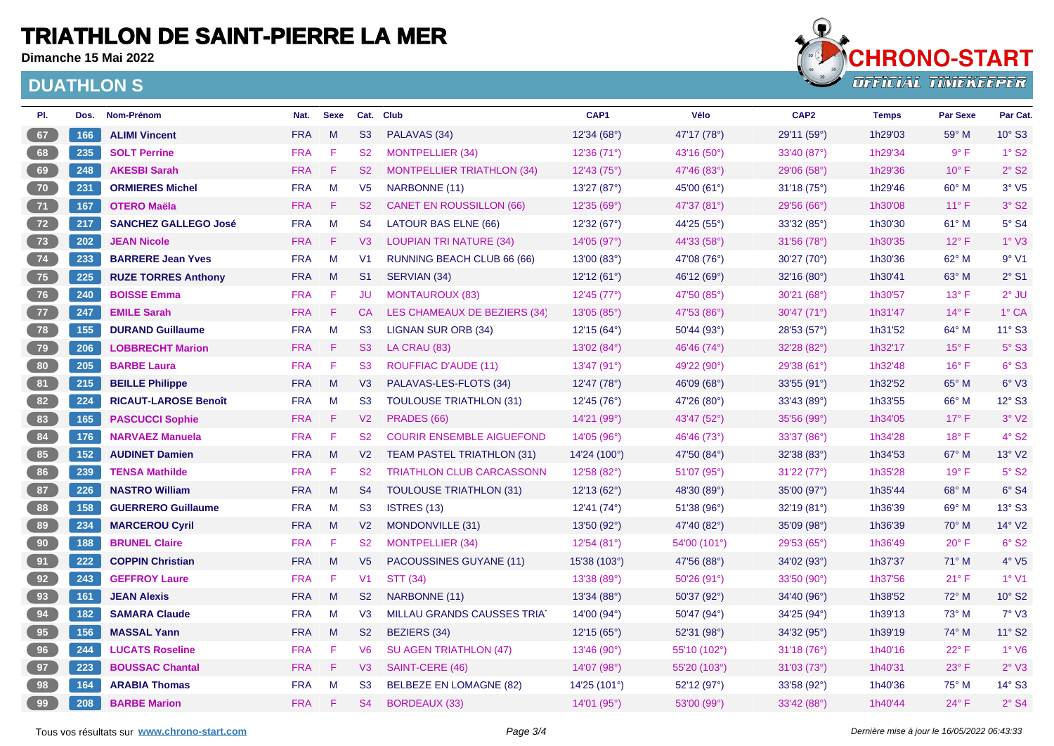**Dimanche 15 Mai 2022**



| PI. | Dos. | Nom-Prénom                  | Nat.       | <b>Sexe</b> |                | Cat. Club                         | CAP1         | Vélo         | CAP <sub>2</sub> | <b>Temps</b> | <b>Par Sexe</b> | Par Cat.                    |
|-----|------|-----------------------------|------------|-------------|----------------|-----------------------------------|--------------|--------------|------------------|--------------|-----------------|-----------------------------|
| 67  | 166  | <b>ALIMI Vincent</b>        | <b>FRA</b> | M           | S3             | PALAVAS (34)                      | 12'34 (68°)  | 47'17 (78°)  | 29'11 (59°)      | 1h29'03      | $59^\circ$ M    | 10° S3                      |
| 68  | 235  | <b>SOLT Perrine</b>         | <b>FRA</b> | -F          | <b>S2</b>      | <b>MONTPELLIER (34)</b>           | 12'36 (71°)  | 43'16 (50°)  | 33'40 (87°)      | 1h29'34      | $9^{\circ}$ F   | $1°$ S <sub>2</sub>         |
| 69  | 248  | <b>AKESBI Sarah</b>         | <b>FRA</b> | F           | <b>S2</b>      | <b>MONTPELLIER TRIATHLON (34)</b> | 12'43(75°)   | 47'46 (83°)  | 29'06 (58°)      | 1h29'36      | $10^{\circ}$ F  | $2°$ S <sub>2</sub>         |
| 70  | 231  | <b>ORMIERES Michel</b>      | <b>FRA</b> | M           | V <sub>5</sub> | NARBONNE (11)                     | 13'27 (87°)  | 45'00 (61°)  | 31'18(75°)       | 1h29'46      | $60^\circ$ M    | $3°\ V5$                    |
| 71  | 167  | <b>OTERO Maëla</b>          | <b>FRA</b> | F           | <b>S2</b>      | <b>CANET EN ROUSSILLON (66)</b>   | 12'35(69°)   | 47'37 (81°)  | 29'56(66)        | 1h30'08      | $11^{\circ}$ F  | $3°$ S <sub>2</sub>         |
| 72  | 217  | <b>SANCHEZ GALLEGO José</b> | <b>FRA</b> | M           | S <sub>4</sub> | LATOUR BAS ELNE (66)              | 12'32(67°)   | 44'25 (55°)  | 33'32(85°)       | 1h30'30      | $61^\circ$ M    | $5°$ S4                     |
| 73  | 202  | <b>JEAN Nicole</b>          | <b>FRA</b> | -F          | V3             | <b>LOUPIAN TRI NATURE (34)</b>    | 14'05 (97°)  | 44'33 (58°)  | 31'56 (78°)      | 1h30'35      | $12^{\circ}$ F  | 1° <sub>V3</sub>            |
| 74  | 233  | <b>BARRERE Jean Yves</b>    | <b>FRA</b> | M           | V <sub>1</sub> | RUNNING BEACH CLUB 66 (66)        | 13'00 (83°)  | 47'08 (76°)  | 30'27 (70°)      | 1h30'36      | 62° M           | 9°V1                        |
| 75  | 225  | <b>RUZE TORRES Anthony</b>  | <b>FRA</b> | M           | S <sub>1</sub> | SERVIAN (34)                      | 12'12(61°)   | 46'12 (69°)  | 32'16 (80°)      | 1h30'41      | $63^\circ$ M    | $2°$ S1                     |
| 76  | 240  | <b>BOISSE Emma</b>          | <b>FRA</b> | -F          | JU.            | <b>MONTAUROUX (83)</b>            | 12'45 (77°)  | 47'50 (85°)  | 30'21 (68°)      | 1h30'57      | $13^{\circ}$ F  | $2°$ JU                     |
| 77  | 247  | <b>EMILE Sarah</b>          | <b>FRA</b> | F           | CA             | LES CHAMEAUX DE BEZIERS (34)      | 13'05 (85°)  | 47'53 (86°)  | 30'47(71°)       | 1h31'47      | $14^{\circ}$ F  | $1^\circ$ CA                |
| 78  | 155  | <b>DURAND Guillaume</b>     | <b>FRA</b> | M           | S3             | <b>LIGNAN SUR ORB (34)</b>        | 12'15 (64°)  | 50'44 (93°)  | 28'53 (57°)      | 1h31'52      | 64° M           | 11° S3                      |
| 79  | 206  | <b>LOBBRECHT Marion</b>     | <b>FRA</b> | F           | S3             | LA CRAU (83)                      | 13'02(84°)   | 46'46 (74°)  | 32'28 (82°)      | 1h32'17      | $15^{\circ}$ F  | $5°$ S3                     |
| 80  | 205  | <b>BARBE Laura</b>          | <b>FRA</b> | F           | S3             | <b>ROUFFIAC D'AUDE (11)</b>       | 13'47 (91°)  | 49'22 (90°)  | 29'38 (61°)      | 1h32'48      | $16^{\circ}$ F  | 6° S3                       |
| 81  | 215  | <b>BEILLE Philippe</b>      | <b>FRA</b> | M           | V3             | PALAVAS-LES-FLOTS (34)            | 12'47 (78°)  | 46'09 (68°)  | 33'55(91°)       | 1h32'52      | 65° M           | $6°\text{V}3$               |
| 82  | 224  | <b>RICAUT-LAROSE Benoît</b> | <b>FRA</b> | M           | S <sub>3</sub> | <b>TOULOUSE TRIATHLON (31)</b>    | 12'45(76°)   | 47'26 (80°)  | 33'43(89°)       | 1h33'55      | $66^{\circ}$ M  | 12° S3                      |
| 83  | 165  | <b>PASCUCCI Sophie</b>      | <b>FRA</b> | -F          | V <sub>2</sub> | PRADES (66)                       | 14'21 (99°)  | 43'47 (52°)  | 35'56 (99°)      | 1h34'05      | $17^\circ$ F    | $3°$ V <sub>2</sub>         |
| 84  | 176  | <b>NARVAEZ Manuela</b>      | <b>FRA</b> | F           | S <sub>2</sub> | <b>COURIR ENSEMBLE AIGUEFOND</b>  | 14'05 (96°)  | 46'46 (73°)  | 33'37(86°)       | 1h34'28      | $18^{\circ}$ F  | $4°$ S <sub>2</sub>         |
| 85  | 152  | <b>AUDINET Damien</b>       | <b>FRA</b> | M           | V <sub>2</sub> | <b>TEAM PASTEL TRIATHLON (31)</b> | 14'24 (100°) | 47'50 (84°)  | 32'38(83°)       | 1h34'53      | $67^\circ$ M    | 13° V2                      |
| 86  | 239  | <b>TENSA Mathilde</b>       | <b>FRA</b> | F           | S <sub>2</sub> | <b>TRIATHLON CLUB CARCASSONN</b>  | 12'58 (82°)  | 51'07 (95°)  | 31'22(77°)       | 1h35'28      | $19°$ F         | $5^\circ$ S <sub>2</sub>    |
| 87  | 226  | <b>NASTRO William</b>       | <b>FRA</b> | M           | S <sub>4</sub> | <b>TOULOUSE TRIATHLON (31)</b>    | 12'13(62°)   | 48'30 (89°)  | 35'00 (97°)      | 1h35'44      | 68° M           | 6°S4                        |
| 88  | 158  | <b>GUERRERO Guillaume</b>   | <b>FRA</b> | M           | S3             | <b>ISTRES (13)</b>                | 12'41 (74°)  | 51'38 (96°)  | 32'19 (81°)      | 1h36'39      | $69^\circ$ M    | 13° S3                      |
| 89  | 234  | <b>MARCEROU Cyril</b>       | <b>FRA</b> | M           | V <sub>2</sub> | MONDONVILLE (31)                  | 13'50 (92°)  | 47'40 (82°)  | 35'09 (98°)      | 1h36'39      | $70^\circ$ M    | 14° V2                      |
| 90  | 188  | <b>BRUNEL Claire</b>        | <b>FRA</b> | F           | S <sub>2</sub> | <b>MONTPELLIER (34)</b>           | 12'54(81°)   | 54'00 (101°) | 29'53 (65°)      | 1h36'49      | $20^{\circ}$ F  | $6°$ S <sub>2</sub>         |
| 91  | 222  | <b>COPPIN Christian</b>     | <b>FRA</b> | M           | V <sub>5</sub> | PACOUSSINES GUYANE (11)           | 15'38(103°)  | 47'56 (88°)  | 34'02 (93°)      | 1h37'37      | $71^\circ$ M    | $4^{\circ}$ V <sub>5</sub>  |
| 92  | 243  | <b>GEFFROY Laure</b>        | <b>FRA</b> | F           | V <sub>1</sub> | <b>STT (34)</b>                   | 13'38(89°)   | 50'26(91°)   | 33'50 (90°)      | 1h37'56      | $21^{\circ}$ F  | $1°$ V1                     |
| 93  | 161  | <b>JEAN Alexis</b>          | <b>FRA</b> | M           | S <sub>2</sub> | NARBONNE (11)                     | 13'34 (88°)  | 50'37 (92°)  | 34'40 (96°)      | 1h38'52      | 72° M           | $10^{\circ}$ S <sub>2</sub> |
| 94  | 182  | <b>SAMARA Claude</b>        | <b>FRA</b> | M           | V3             | MILLAU GRANDS CAUSSES TRIAT       | 14'00 (94°)  | 50'47 (94°)  | 34'25 (94°)      | 1h39'13      | 73° M           | $7°\,V3$                    |
| 95  | 156  | <b>MASSAL Yann</b>          | <b>FRA</b> | M           | S <sub>2</sub> | <b>BEZIERS (34)</b>               | 12'15(65°)   | 52'31 (98°)  | 34'32 (95°)      | 1h39'19      | $74^\circ$ M    | 11° S2                      |
| 96  | 244  | <b>LUCATS Roseline</b>      | <b>FRA</b> | F           | V6             | <b>SU AGEN TRIATHLON (47)</b>     | 13'46 (90°)  | 55'10 (102°) | 31'18(76°)       | 1h40'16      | $22^{\circ}$ F  | $1°$ V6                     |
| 97  | 223  | <b>BOUSSAC Chantal</b>      | <b>FRA</b> | F           | V3             | SAINT-CERE (46)                   | 14'07(98°)   | 55'20 (103°) | 31'03(73°)       | 1h40'31      | $23^{\circ}$ F  | $2°\text{V}3$               |
| 98  | 164  | <b>ARABIA Thomas</b>        | <b>FRA</b> | M           | S <sub>3</sub> | <b>BELBEZE EN LOMAGNE (82)</b>    | 14'25(101°)  | 52'12 (97°)  | 33'58 (92°)      | 1h40'36      | $75^{\circ}$ M  | 14° S3                      |
| 99  | 208  | <b>BARBE Marion</b>         | <b>FRA</b> | F           | <b>S4</b>      | <b>BORDEAUX (33)</b>              | 14'01 (95°)  | 53'00 (99°)  | 33'42 (88°)      | 1h40'44      | $24^{\circ}$ F  | $2°$ S4                     |